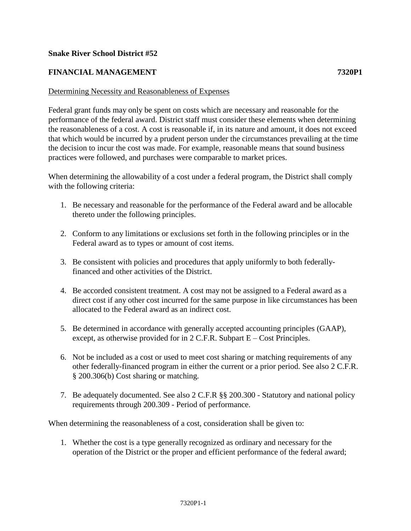## **Snake River School District #52**

## **FINANCIAL MANAGEMENT 7320P1**

## Determining Necessity and Reasonableness of Expenses

Federal grant funds may only be spent on costs which are necessary and reasonable for the performance of the federal award. District staff must consider these elements when determining the reasonableness of a cost. A cost is reasonable if, in its nature and amount, it does not exceed that which would be incurred by a prudent person under the circumstances prevailing at the time the decision to incur the cost was made. For example, reasonable means that sound business practices were followed, and purchases were comparable to market prices.

When determining the allowability of a cost under a federal program, the District shall comply with the following criteria:

- 1. Be necessary and reasonable for the performance of the Federal award and be allocable thereto under the following principles.
- 2. Conform to any limitations or exclusions set forth in the following principles or in the Federal award as to types or amount of cost items.
- 3. Be consistent with policies and procedures that apply uniformly to both federallyfinanced and other activities of the District.
- 4. Be accorded consistent treatment. A cost may not be assigned to a Federal award as a direct cost if any other cost incurred for the same purpose in like circumstances has been allocated to the Federal award as an indirect cost.
- 5. Be determined in accordance with generally accepted accounting principles (GAAP), except, as otherwise provided for in 2 C.F.R. Subpart E – Cost Principles.
- 6. Not be included as a cost or used to meet cost sharing or matching requirements of any other federally-financed program in either the current or a prior period. See also 2 C.F.R. § 200.306(b) Cost sharing or matching.
- 7. Be adequately documented. See also 2 C.F.R §§ 200.300 Statutory and national policy requirements through 200.309 - Period of performance.

When determining the reasonableness of a cost, consideration shall be given to:

1. Whether the cost is a type generally recognized as ordinary and necessary for the operation of the District or the proper and efficient performance of the federal award;